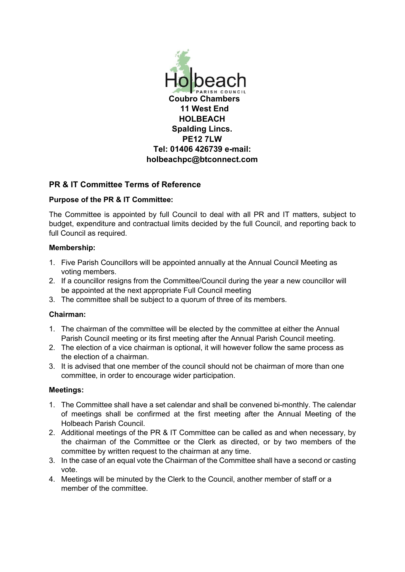

# **PR & IT Committee Terms of Reference**

## **Purpose of the PR & IT Committee:**

The Committee is appointed by full Council to deal with all PR and IT matters, subject to budget, expenditure and contractual limits decided by the full Council, and reporting back to full Council as required.

### **Membership:**

- 1. Five Parish Councillors will be appointed annually at the Annual Council Meeting as voting members.
- 2. If a councillor resigns from the Committee/Council during the year a new councillor will be appointed at the next appropriate Full Council meeting
- 3. The committee shall be subject to a quorum of three of its members.

# **Chairman:**

- 1. The chairman of the committee will be elected by the committee at either the Annual Parish Council meeting or its first meeting after the Annual Parish Council meeting.
- 2. The election of a vice chairman is optional, it will however follow the same process as the election of a chairman.
- 3. It is advised that one member of the council should not be chairman of more than one committee, in order to encourage wider participation.

### **Meetings:**

- 1. The Committee shall have a set calendar and shall be convened bi-monthly. The calendar of meetings shall be confirmed at the first meeting after the Annual Meeting of the Holbeach Parish Council.
- 2. Additional meetings of the PR & IT Committee can be called as and when necessary, by the chairman of the Committee or the Clerk as directed, or by two members of the committee by written request to the chairman at any time.
- 3. In the case of an equal vote the Chairman of the Committee shall have a second or casting vote.
- 4. Meetings will be minuted by the Clerk to the Council, another member of staff or a member of the committee.